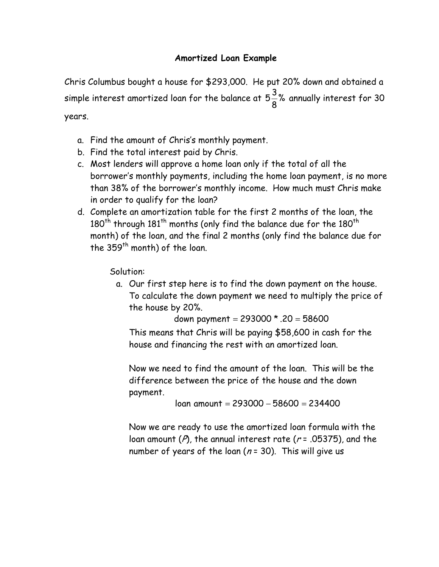# Amortized Loan Example

Chris Columbus bought a house for \$293,000. He put 20% down and obtained a simple interest amortized loan for the balance at  $5\frac{8}{9}\%$ 8  $5\frac{3}{5}\%$  annually interest for 30 years.

- a. Find the amount of Chris's monthly payment.
- b. Find the total interest paid by Chris.
- c. Most lenders will approve a home loan only if the total of all the borrower's monthly payments, including the home loan payment, is no more than 38% of the borrower's monthly income. How much must Chris make in order to qualify for the loan?
- d. Complete an amortization table for the first 2 months of the loan, the  $180<sup>th</sup>$  through  $181<sup>th</sup>$  months (only find the balance due for the  $180<sup>th</sup>$ month) of the loan, and the final 2 months (only find the balance due for the  $359<sup>th</sup>$  month) of the loan.

Solution:

a. Our first step here is to find the down payment on the house. To calculate the down payment we need to multiply the price of the house by 20%.

down payment = 293000 \* .20 = 58600

This means that Chris will be paying \$58,600 in cash for the house and financing the rest with an amortized loan.

Now we need to find the amount of the loan. This will be the difference between the price of the house and the down payment.

loan amount = 293000 − 58600 = 234400

Now we are ready to use the amortized loan formula with the loan amount ( $P$ ), the annual interest rate ( $r = .05375$ ), and the number of years of the loan ( $n = 30$ ). This will give us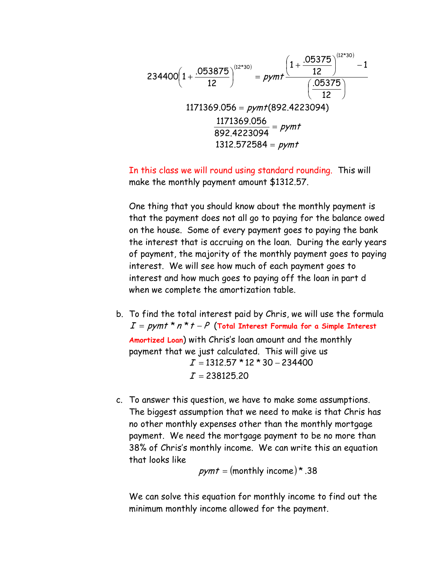$$
234400\left(1+\frac{.053875}{12}\right)^{(12*30)} = pymb + \frac{\left(1+\frac{.05375}{12}\right)^{(12*30)} - 1}{\left(\frac{.05375}{12}\right)} = pymb + \frac{(.05375)}{12}
$$
\n
$$
1171369.056 = pymb + (892.4223094)
$$
\n
$$
\frac{1171369.056}{892.4223094} = pymb + \frac{1312.572584 = pymb + \frac{1312.572584}{12}}
$$

In this class we will round using standard rounding. This will make the monthly payment amount \$1312.57.

One thing that you should know about the monthly payment is that the payment does not all go to paying for the balance owed on the house. Some of every payment goes to paying the bank the interest that is accruing on the loan. During the early years of payment, the majority of the monthly payment goes to paying interest. We will see how much of each payment goes to interest and how much goes to paying off the loan in part d when we complete the amortization table.

- b. To find the total interest paid by Chris, we will use the formula  $I = pymt * n * t - P$  (Total Interest Formula for a Simple Interest Amortized Loan) with Chris's loan amount and the monthly payment that we just calculated. This will give us  $\boldsymbol{I}$  = 238125.20  $I =$  1312.57 \* 12 \* 30 – 234400
- c. To answer this question, we have to make some assumptions. The biggest assumption that we need to make is that Chris has no other monthly expenses other than the monthly mortgage payment. We need the mortgage payment to be no more than 38% of Chris's monthly income. We can write this an equation that looks like

 $pymt = (monthly income)^*$ .38

We can solve this equation for monthly income to find out the minimum monthly income allowed for the payment.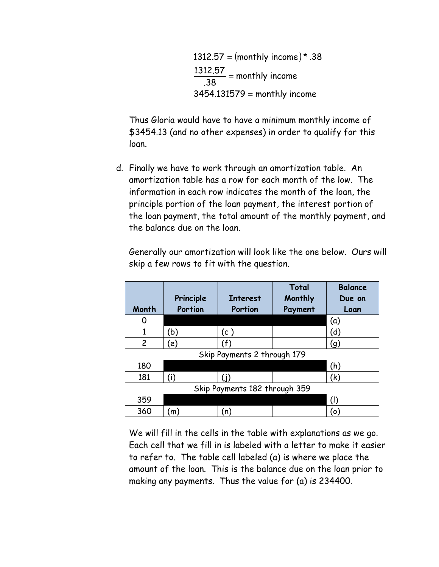1312.57 = (monthly income)\* .38 3454.131579 = monthly income monthly income .38  $\frac{1312.57}{22}$  =

Thus Gloria would have to have a minimum monthly income of \$3454.13 (and no other expenses) in order to qualify for this loan.

d. Finally we have to work through an amortization table. An amortization table has a row for each month of the low. The information in each row indicates the month of the loan, the principle portion of the loan payment, the interest portion of the loan payment, the total amount of the monthly payment, and the balance due on the loan.

| Month                         | Principle<br>Portion | <b>Interest</b><br>Portion | Total<br>Monthly<br>Payment | <b>Balance</b><br>Due on<br>Loan |  |  |
|-------------------------------|----------------------|----------------------------|-----------------------------|----------------------------------|--|--|
| O                             |                      |                            |                             | (a)                              |  |  |
|                               | (b)                  | (c )                       |                             | (d)                              |  |  |
| $\overline{2}$                | (e)                  | (f)                        |                             | (g)                              |  |  |
| Skip Payments 2 through 179   |                      |                            |                             |                                  |  |  |
| 180                           |                      |                            |                             | (h)                              |  |  |
| 181                           | (i)                  |                            |                             | (k)                              |  |  |
| Skip Payments 182 through 359 |                      |                            |                             |                                  |  |  |
| 359                           |                      |                            |                             |                                  |  |  |
| 360                           | (m)                  | (n)                        |                             | (o)                              |  |  |

Generally our amortization will look like the one below. Ours will skip a few rows to fit with the question.

We will fill in the cells in the table with explanations as we go. Each cell that we fill in is labeled with a letter to make it easier to refer to. The table cell labeled (a) is where we place the amount of the loan. This is the balance due on the loan prior to making any payments. Thus the value for (a) is 234400.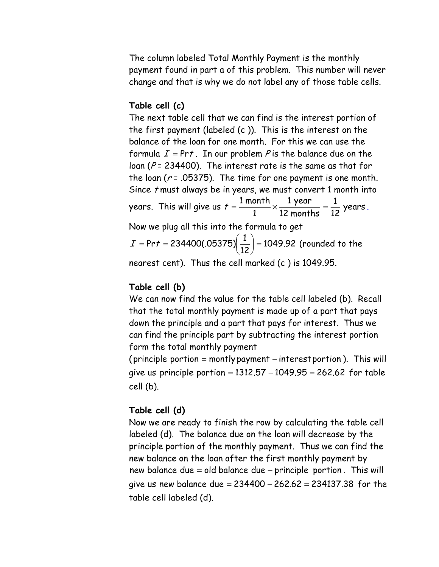The column labeled Total Monthly Payment is the monthly payment found in part a of this problem. This number will never change and that is why we do not label any of those table cells.

#### Table cell (c)

The next table cell that we can find is the interest portion of the first payment (labeled (c )). This is the interest on the balance of the loan for one month. For this we can use the formula  $I = Prt$ . In our problem P is the balance due on the loan ( $P = 234400$ ). The interest rate is the same as that for the loan ( $r = 0.05375$ ). The time for one payment is one month. Since t must always be in years, we must convert 1 month into years. This will give us  $t = \frac{m n}{4} \times \frac{m}{42} \times \frac{m}{42} = \frac{1}{42}$  years 12 1 12 months 1 year 1  $t = \frac{1 \text{ month}}{4} \times \frac{1 \text{ year}}{12 \text{ years}} = \frac{1}{12} \text{ years}.$ Now we plug all this into the formula to get 1049.92 12 Pr  $t = 234400(.05375) \left( \frac{1}{12} \right) =$ J  $\left(\frac{1}{12}\right)$ l ſ I = Prt = 234400(.05375)  $\frac{1}{10}$  = 1049.92 (rounded to the

nearest cent). Thus the cell marked (c ) is 1049.95.

### Table cell (b)

We can now find the value for the table cell labeled (b). Recall that the total monthly payment is made up of a part that pays down the principle and a part that pays for interest. Thus we can find the principle part by subtracting the interest portion form the total monthly payment

(principle portion = montly payment − interest portion ). This will give us principle portion = 1312.57 − 1049.95 = 262.62 for table cell (b).

### Table cell (d)

Now we are ready to finish the row by calculating the table cell labeled (d). The balance due on the loan will decrease by the principle portion of the monthly payment. Thus we can find the new balance on the loan after the first monthly payment by new balance due = old balance due − principle portion . This will give us new balance due =  $234400 - 262.62 = 234137.38$  for the table cell labeled (d).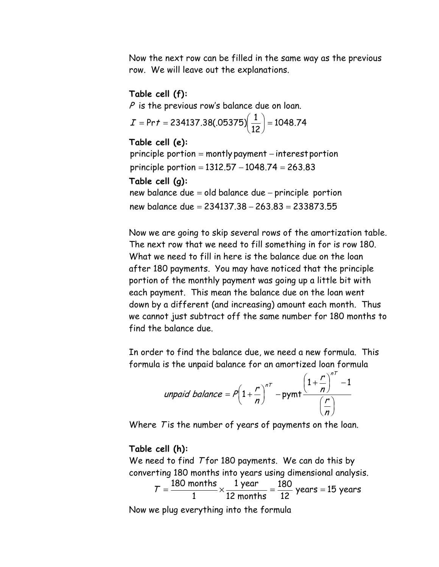Now the next row can be filled in the same way as the previous row. We will leave out the explanations.

#### Table cell (f):

 $P$  is the previous row's balance due on loan.

$$
I = Pr t = 234137.38(.05375) \left(\frac{1}{12}\right) = 1048.74
$$

Table cell (e): principle portion = 1312.57 – 1048.74 = 263.83 principle portion = montly payment – interest portion Table cell (g): new balance due = 234137.38 – 263.83 = 233873.55 new balance due = old balance due – principle portion

Now we are going to skip several rows of the amortization table. The next row that we need to fill something in for is row 180. What we need to fill in here is the balance due on the loan after 180 payments. You may have noticed that the principle portion of the monthly payment was going up a little bit with each payment. This mean the balance due on the loan went down by a different (and increasing) amount each month. Thus we cannot just subtract off the same number for 180 months to find the balance due.

In order to find the balance due, we need a new formula. This formula is the unpaid balance for an amortized loan formula

$$
unpaid balance = P\left(1+\frac{r}{n}\right)^{nT} - pymb \frac{\left(1+\frac{r}{n}\right)^{nT} - 1}{\left(\frac{r}{n}\right)}
$$

Where T is the number of years of payments on the loan.

#### Table cell (h):

We need to find T for 180 payments. We can do this by converting 180 months into years using dimensional analysis.

$$
T = \frac{180 \text{ months}}{1} \times \frac{1 \text{ year}}{12 \text{ months}} = \frac{180}{12} \text{ years} = 15 \text{ years}
$$

Now we plug everything into the formula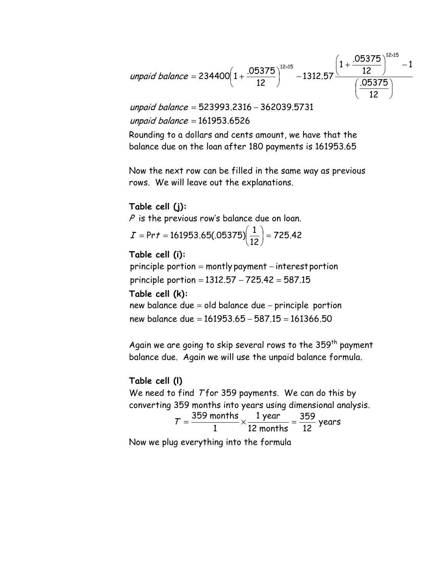$$
unpaid\ balance = 234400\left(1+\frac{.05375}{12}\right)^{12\times15} -1312.57\frac{\left(1+\frac{.05375}{12}\right)^{12\times15}-1}{\left(\frac{.05375}{12}\right)}
$$

unpaid balance = 161953.6526 unpaid balance = 523993.2316 – 362039.5731

Rounding to a dollars and cents amount, we have that the balance due on the loan after 180 payments is 161953.65

Now the next row can be filled in the same way as previous rows. We will leave out the explanations.

# Table cell (j):

 $P$  is the previous row's balance due on loan.

$$
I = Pr\,t = 161953.65(.05375)\left(\frac{1}{12}\right) = 725.42
$$

### Table cell (i):

principle portion = 1312.57 – 725.42 = 587.15 principle portion = montly payment – interestportion

### Table cell (k):

new balance due = 161953.65 – 587.15 = 161366.50 new balance due = old balance due – principle portion

Again we are going to skip several rows to the  $359<sup>th</sup>$  payment balance due. Again we will use the unpaid balance formula.

# Table cell (l)

We need to find Tfor 359 payments. We can do this by converting 359 months into years using dimensional analysis. 359 1 year

years 12 12 months 1  $T = \frac{359 \text{ months}}{4} \times \frac{1 \text{ year}}{10 \text{ year}} =$ 

Now we plug everything into the formula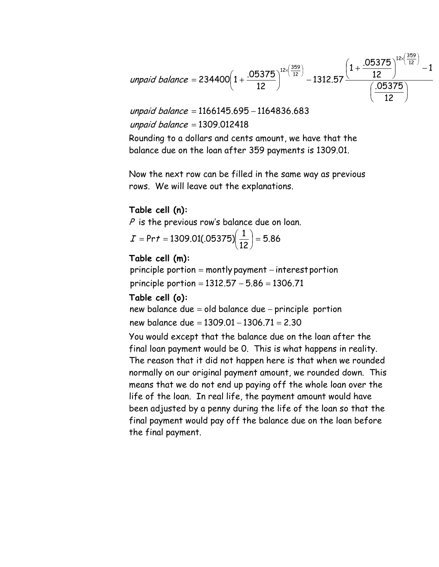$$
unpaid balance = 234400\left(1+\frac{.05375}{12}\right)^{12\times \left(\frac{359}{12}\right)} -1312.57\frac{\left(1+\frac{.05375}{12}\right)^{12\times \left(\frac{359}{12}\right)}-1}{\left(\frac{.05375}{12}\right)}
$$

unpaid balance = 1309.012418 unpaid balance = 1166145.695 – 1164836.683

Rounding to a dollars and cents amount, we have that the balance due on the loan after 359 payments is 1309.01.

Now the next row can be filled in the same way as previous rows. We will leave out the explanations.

# Table cell (n):

 $P$  is the previous row's balance due on loan.

$$
I = Prt = 1309.01(.05375) \left(\frac{1}{12}\right) = 5.86
$$

## Table cell (m):

principle portion = 1312.57 – 5.86 = 1306.71 principle portion = montly payment – interest portion

### Table cell (o):

new balance due = 1309.01 – 1306.71 = 2.30 new balance due = old balance due – principle portion

You would except that the balance due on the loan after the final loan payment would be 0. This is what happens in reality. The reason that it did not happen here is that when we rounded normally on our original payment amount, we rounded down. This means that we do not end up paying off the whole loan over the life of the loan. In real life, the payment amount would have been adjusted by a penny during the life of the loan so that the final payment would pay off the balance due on the loan before the final payment.